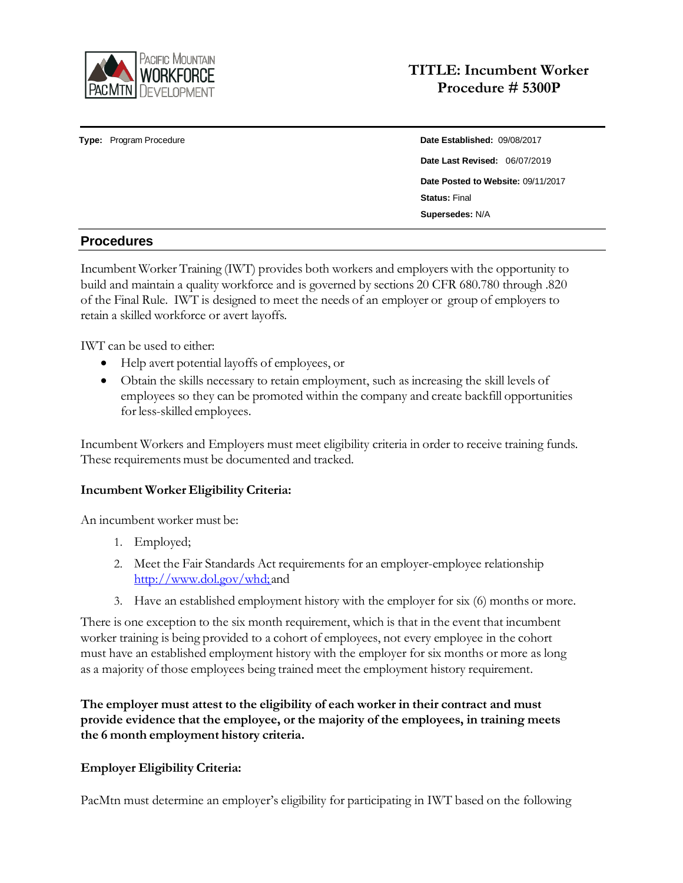

**Type:** Program Procedure **Date Established:** 09/08/2017

# **Date Last Revised:** 06/07/2019 **Date Posted to Website:** 09/11/2017 **Status:** Final **Supersedes:** N/A

## **Procedures**

Incumbent Worker Training (IWT) provides both workers and employers with the opportunity to build and maintain a quality workforce and is governed by sections 20 CFR 680.780 through .820 of the Final Rule. IWT is designed to meet the needs of an employer or group of employers to retain a skilled workforce or avert layoffs.

IWT can be used to either:

- Help avert potential layoffs of employees, or
- Obtain the skills necessary to retain employment, such as increasing the skill levels of employees so they can be promoted within the company and create backfill opportunities for less-skilled employees.

Incumbent Workers and Employers must meet eligibility criteria in order to receive training funds. These requirements must be documented and tracked.

## **Incumbent Worker Eligibility Criteria:**

An incumbent worker must be:

- 1. Employed;
- 2. Meet the Fair Standards Act requirements for an employer-employee relationship [http://www.dol.gov/whd;](http://www.dol.gov/whd%3B) and
- 3. Have an established employment history with the employer for six (6) months or more.

There is one exception to the six month requirement, which is that in the event that incumbent worker training is being provided to a cohort of employees, not every employee in the cohort must have an established employment history with the employer for six months or more as long as a majority of those employees being trained meet the employment history requirement.

**The employer must attest to the eligibility of each worker in their contract and must provide evidence that the employee, or the majority of the employees, in training meets the 6 month employment history criteria.**

## **Employer Eligibility Criteria:**

PacMtn must determine an employer's eligibility for participating in IWT based on the following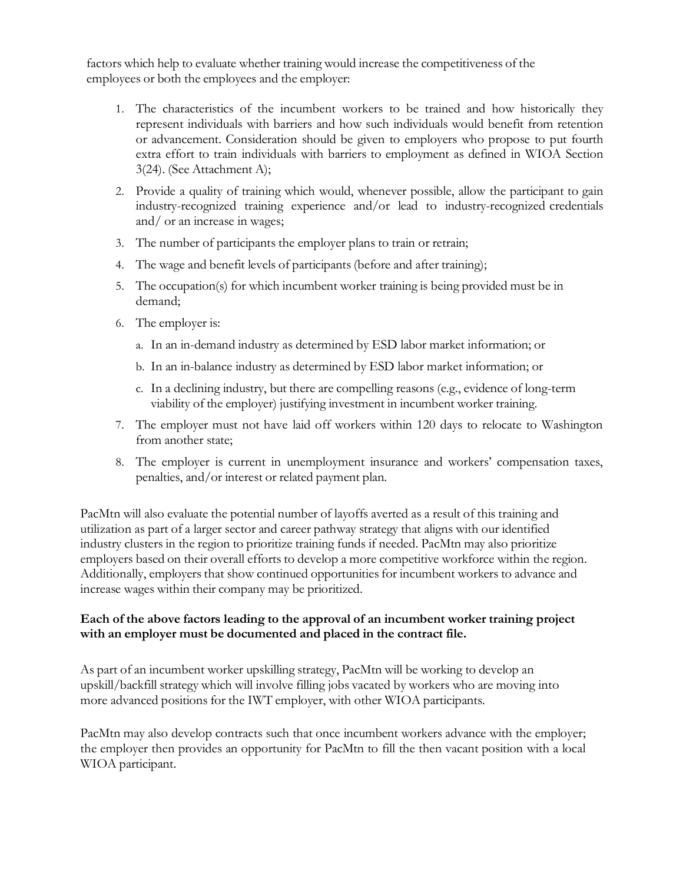factors which help to evaluate whether training would increase the competitiveness of the employees or both the employees and the employer:

- 1. The characteristics of the incumbent workers to be trained and how historically they represent individuals with barriers and how such individuals would benefit from retention or advancement. Consideration should be given to employers who propose to put fourth extra effort to train individuals with barriers to employment as defined in WIOA Section 3(24). (See Attachment A);
- 2. Provide a quality of training which would, whenever possible, allow the participant to gain industry-recognized training experience and/or lead to industry-recognized credentials and/ or an increase in wages;
- 3. The number of participants the employer plans to train or retrain;
- 4. The wage and benefit levels of participants(before and after training);
- 5. The occupation(s) for which incumbent worker training is being provided must be in demand;
- 6. The employer is:
	- a. In an in-demand industry as determined by ESD labor market information; or
	- b. In an in-balance industry as determined by ESD labor market information; or
	- c. In a declining industry, but there are compelling reasons (e.g., evidence of long-term viability of the employer) justifying investment in incumbent worker training.
- 7. The employer must not have laid off workers within 120 days to relocate to Washington from another state;
- 8. The employer is current in unemployment insurance and workers' compensation taxes, penalties, and/or interest or related payment plan.

PacMtn will also evaluate the potential number of layoffs averted as a result of this training and utilization as part of a larger sector and career pathway strategy that aligns with our identified industry clusters in the region to prioritize training funds if needed. PacMtn may also prioritize employers based on their overall efforts to develop a more competitive workforce within the region. Additionally, employers that show continued opportunities for incumbent workers to advance and increase wages within their company may be prioritized.

#### **Each of the above factors leading to the approval of an incumbent worker training project with an employer must be documented and placed in the contract file.**

As part of an incumbent worker upskilling strategy, PacMtn will be working to develop an upskill/backfill strategy which will involve filling jobs vacated by workers who are moving into more advanced positions for the IWT employer, with other WIOA participants.

PacMtn may also develop contracts such that once incumbent workers advance with the employer; the employer then provides an opportunity for PacMtn to fill the then vacant position with a local WIOA participant.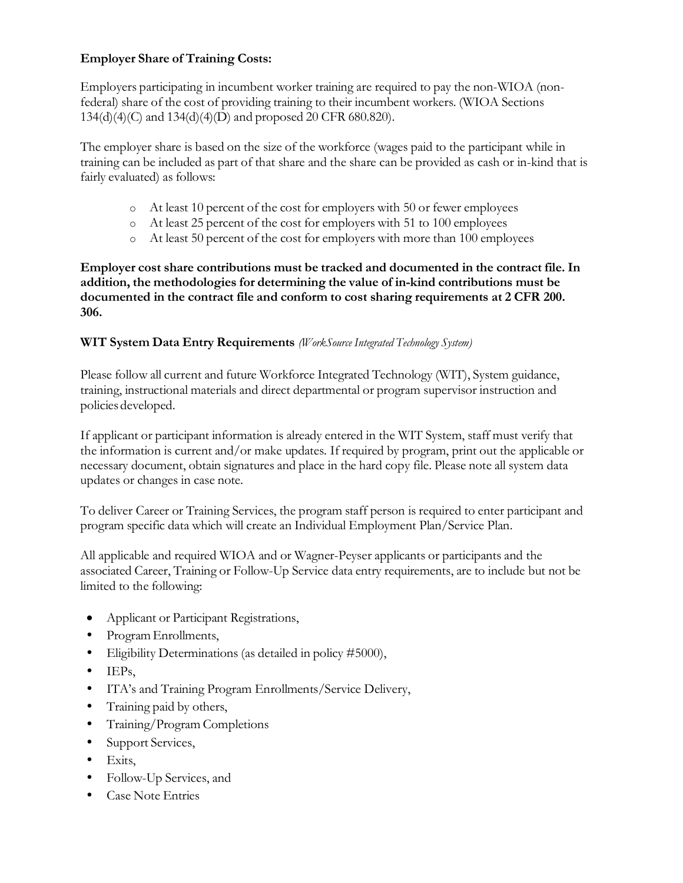## **Employer Share of Training Costs:**

Employers participating in incumbent worker training are required to pay the non-WIOA (nonfederal) share of the cost of providing training to their incumbent workers. (WIOA Sections 134(d)(4)(C) and 134(d)(4)(D) and proposed 20 CFR 680.820).

The employer share is based on the size of the workforce (wages paid to the participant while in training can be included as part of that share and the share can be provided as cash or in-kind that is fairly evaluated) as follows:

- o At least 10 percent of the cost for employers with 50 or fewer employees
- o At least 25 percent of the cost for employers with 51 to 100 employees
- o At least 50 percent of the cost for employers with more than 100 employees

**Employer cost share contributions must be tracked and documented in the contract file. In addition, the methodologies for determining the value of in-kind contributions must be documented in the contract file and conform to cost sharing requirements at 2 CFR 200. 306.**

#### **WIT System Data Entry Requirements** *(WorkSource Integrated Technology System)*

Please follow all current and future Workforce Integrated Technology (WIT), System guidance, training, instructional materials and direct departmental or program supervisor instruction and policies developed.

If applicant or participant information is already entered in the WIT System, staff must verify that the information is current and/or make updates. If required by program, print out the applicable or necessary document, obtain signatures and place in the hard copy file. Please note all system data updates or changes in case note.

To deliver Career or Training Services, the program staff person is required to enter participant and program specific data which will create an Individual Employment Plan/Service Plan.

All applicable and required WIOA and or Wagner-Peyser applicants or participants and the associated Career, Training or Follow-Up Service data entry requirements, are to include but not be limited to the following:

- Applicant or Participant Registrations,
- ProgramEnrollments,
- Eligibility Determinations (as detailed in policy #5000),
- IEPs.
- ITA's and Training Program Enrollments/Service Delivery,
- Training paid by others,
- Training/Program Completions
- Support Services,
- Exits,
- Follow-Up Services, and
- Case Note Entries